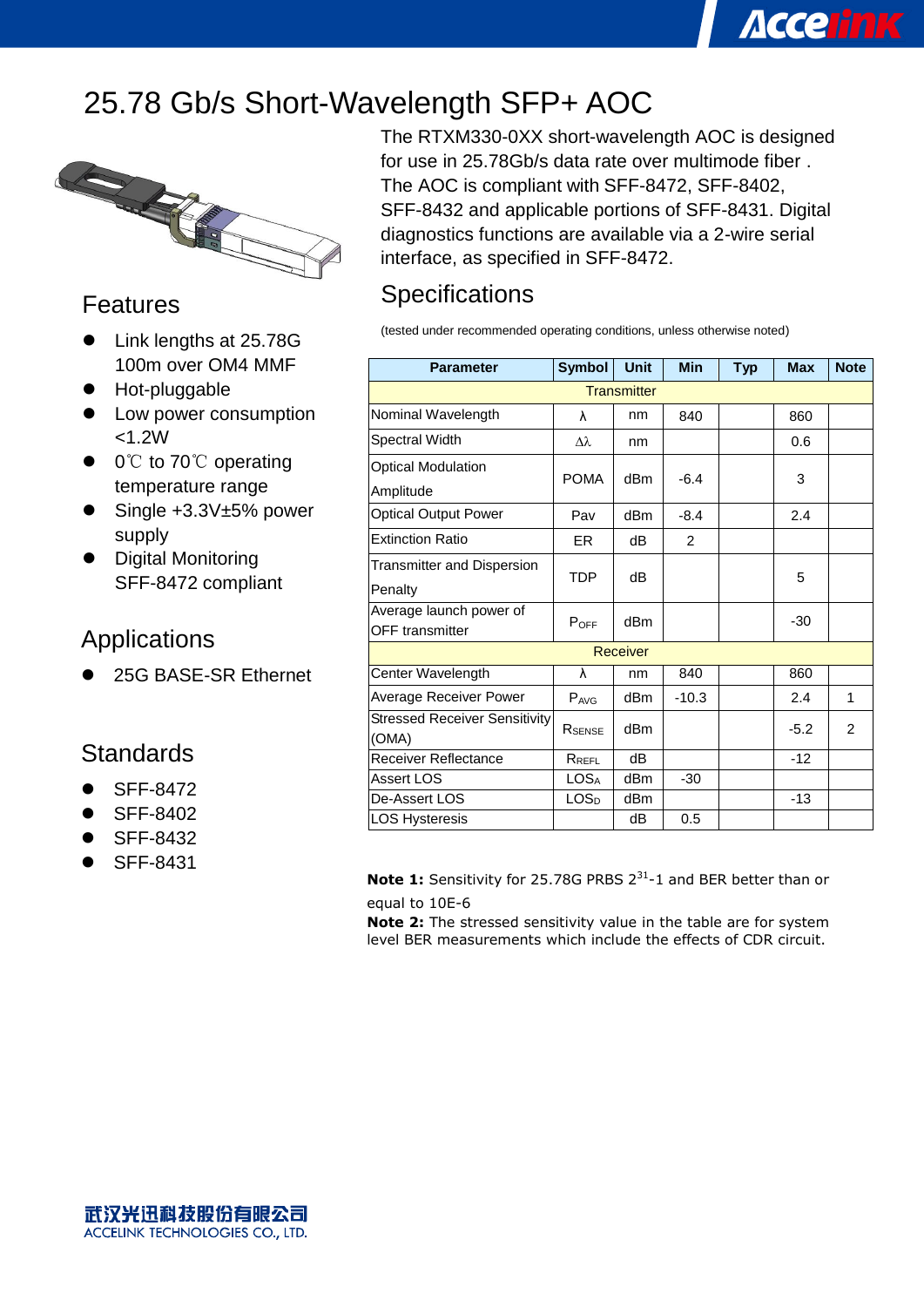## 25.78 Gb/s Short-Wavelength SFP+ AOC



#### Features

- Link lengths at 25.78G 100m over OM4 MMF
- Hot-pluggable
- Low power consumption  $< 1.2W$
- 0°C to 70°C operating temperature range
- Single +3.3V±5% power supply
- Digital Monitoring SFF-8472 compliant

#### Applications

25G BASE-SR Ethernet

#### **Standards**

- SFF-8472
- SFF-8402
- SFF-8432
- SFF-8431

The RTXM330-0XX short-wavelength AOC is designed for use in 25.78Gb/s data rate over multimode fiber . The AOC is compliant with SFF-8472, SFF-8402, SFF-8432 and applicable portions of SFF-8431. Digital diagnostics functions are available via a 2-wire serial interface, as specified in SFF-8472.

**Accelink** 

### **Specifications**

(tested under recommended operating conditions, unless otherwise noted)

| <b>Parameter</b>                     | <b>Symbol</b>    | <b>Unit</b>     | <b>Min</b>     | <b>Typ</b> | <b>Max</b> | <b>Note</b> |  |  |
|--------------------------------------|------------------|-----------------|----------------|------------|------------|-------------|--|--|
| <b>Transmitter</b>                   |                  |                 |                |            |            |             |  |  |
| Nominal Wavelength                   | λ                | nm              | 840            |            | 860        |             |  |  |
| Spectral Width                       | Δλ               | nm              |                |            | 0.6        |             |  |  |
| <b>Optical Modulation</b>            |                  |                 | $-6.4$         |            |            |             |  |  |
| Amplitude                            | <b>POMA</b>      | dB <sub>m</sub> |                |            | 3          |             |  |  |
| <b>Optical Output Power</b>          | Pav              | dBm             | $-8.4$         |            | 2.4        |             |  |  |
| <b>Extinction Ratio</b>              | ER               | dB              | $\overline{2}$ |            |            |             |  |  |
| Transmitter and Dispersion           |                  | dB              |                |            |            |             |  |  |
| Penalty                              | TDP              |                 |                |            | 5          |             |  |  |
| Average launch power of              | POFF             | dBm             |                |            | $-30$      |             |  |  |
| <b>OFF</b> transmitter               |                  |                 |                |            |            |             |  |  |
| Receiver                             |                  |                 |                |            |            |             |  |  |
| Center Wavelength                    | λ                | nm              | 840            |            | 860        |             |  |  |
| <b>Average Receiver Power</b>        | $P_{AVG}$        | dB <sub>m</sub> | $-10.3$        |            | 2.4        | 1           |  |  |
| <b>Stressed Receiver Sensitivity</b> | RSENSE           | dBm             |                |            | $-5.2$     | 2           |  |  |
| (OMA)                                |                  |                 |                |            |            |             |  |  |
| <b>Receiver Reflectance</b>          | $R_{REFL}$       | dB              |                |            | $-12$      |             |  |  |
| Assert LOS                           | LOS <sub>A</sub> | d <sub>Bm</sub> | $-30$          |            |            |             |  |  |
| De-Assert LOS                        | LOS <sub>D</sub> | dBm             |                |            | $-13$      |             |  |  |
| <b>LOS Hysteresis</b>                |                  | dB              | 0.5            |            |            |             |  |  |

**Note 1:** Sensitivity for 25.78G PRBS 2<sup>31</sup>-1 and BER better than or equal to 10E-6

**Note 2:** The stressed sensitivity value in the table are for system level BER measurements which include the effects of CDR circuit.